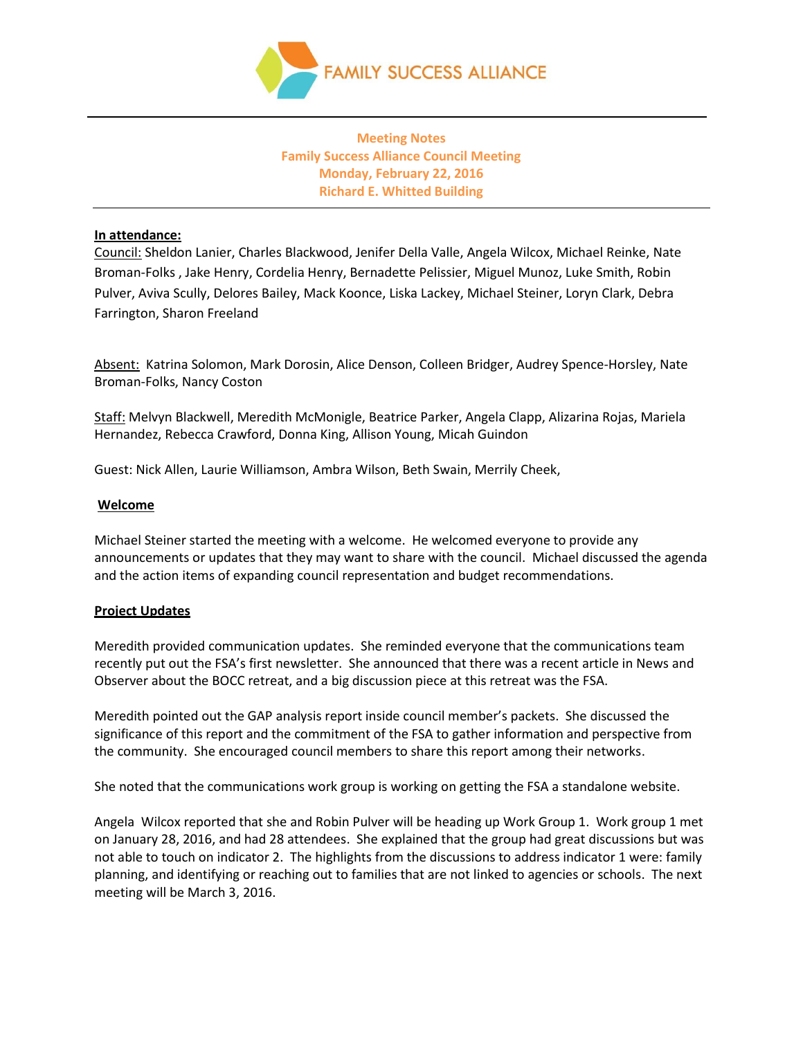

**Meeting Notes Family Success Alliance Council Meeting Monday, February 22, 2016 Richard E. Whitted Building**

## **In attendance:**

Council: Sheldon Lanier, Charles Blackwood, Jenifer Della Valle, Angela Wilcox, Michael Reinke, Nate Broman-Folks , Jake Henry, Cordelia Henry, Bernadette Pelissier, Miguel Munoz, Luke Smith, Robin Pulver, Aviva Scully, Delores Bailey, Mack Koonce, Liska Lackey, Michael Steiner, Loryn Clark, Debra Farrington, Sharon Freeland

Absent: Katrina Solomon, Mark Dorosin, Alice Denson, Colleen Bridger, Audrey Spence-Horsley, Nate Broman-Folks, Nancy Coston

Staff: Melvyn Blackwell, Meredith McMonigle, Beatrice Parker, Angela Clapp, Alizarina Rojas, Mariela Hernandez, Rebecca Crawford, Donna King, Allison Young, Micah Guindon

Guest: Nick Allen, Laurie Williamson, Ambra Wilson, Beth Swain, Merrily Cheek,

# **Welcome**

Michael Steiner started the meeting with a welcome. He welcomed everyone to provide any announcements or updates that they may want to share with the council. Michael discussed the agenda and the action items of expanding council representation and budget recommendations.

# **Project Updates**

Meredith provided communication updates. She reminded everyone that the communications team recently put out the FSA's first newsletter. She announced that there was a recent article in News and Observer about the BOCC retreat, and a big discussion piece at this retreat was the FSA.

Meredith pointed out the GAP analysis report inside council member's packets. She discussed the significance of this report and the commitment of the FSA to gather information and perspective from the community. She encouraged council members to share this report among their networks.

She noted that the communications work group is working on getting the FSA a standalone website.

Angela Wilcox reported that she and Robin Pulver will be heading up Work Group 1. Work group 1 met on January 28, 2016, and had 28 attendees. She explained that the group had great discussions but was not able to touch on indicator 2. The highlights from the discussions to address indicator 1 were: family planning, and identifying or reaching out to families that are not linked to agencies or schools. The next meeting will be March 3, 2016.